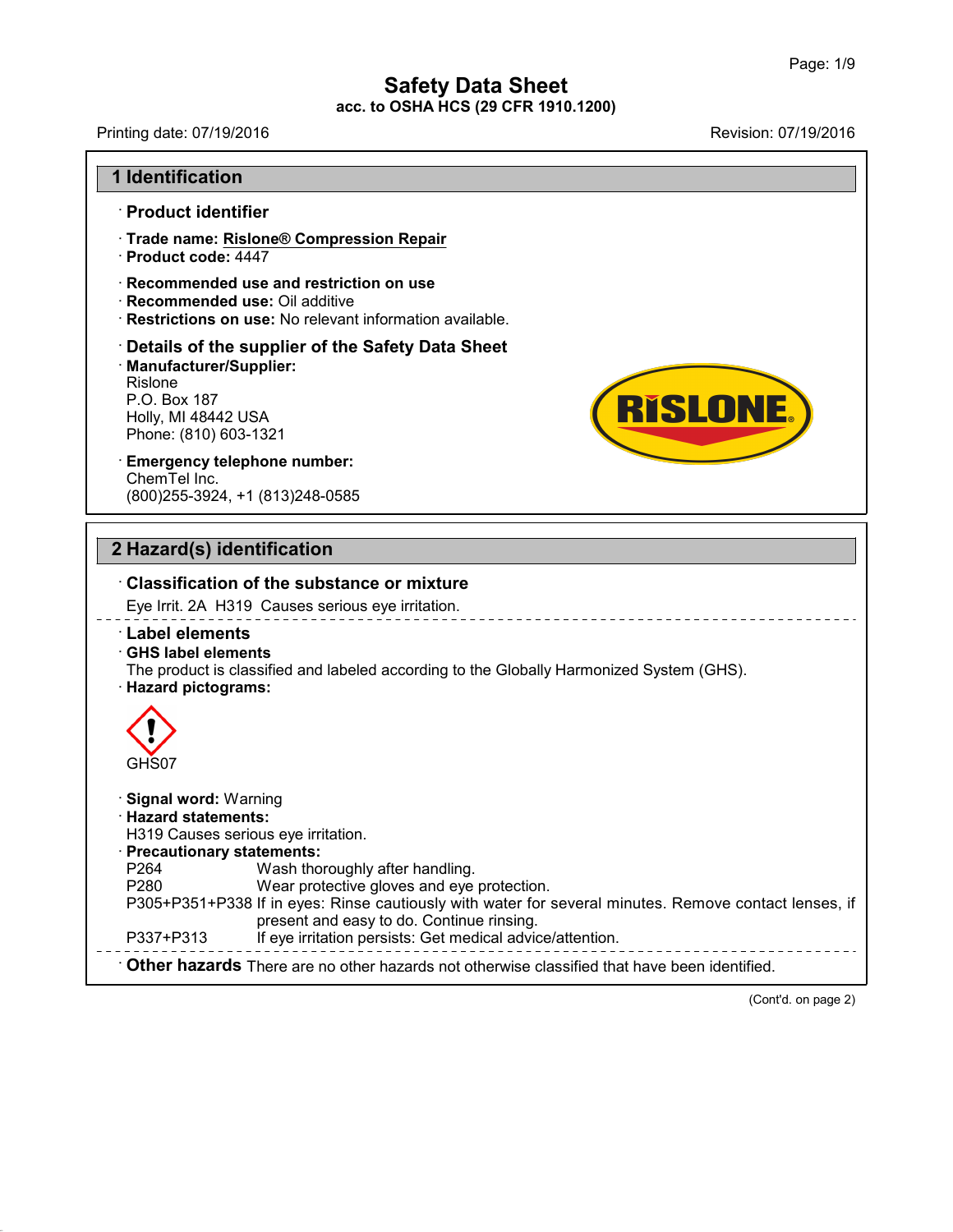Printing date: 07/19/2016 Revision: 07/19/2016

**RISLONE** 

#### **1 Identification**

#### · **Product identifier**

- · **Trade name: Rislone® Compression Repair**
- · **Product code:** 4447
- · **Recommended use and restriction on use**
- · **Recommended use:** Oil additive
- · **Restrictions on use:** No relevant information available.

# · **Details of the supplier of the Safety Data Sheet** • **Details of the supplier of the Saf**<br>• **Manufacturer/Supplier:**<br>Rislone<br>P.O. Box 187<br>Holly, MI 48442 USA<br>Phone: (810) 603-1321<br>• **Emergency telephone number:** · **Manufacturer/Supplier:** Rislone Restrictions on use: No rel<br>Details of the supplier o<br>Manufacturer/Supplier:<br>Rislone<br>P.O. Box 187<br>Holly, MI 48442 USA<br>Phone: (810) 603-1321 **Details of the supplier of the {<br>Manufacturer/Supplier:**<br>Rislone<br>P.O. Box 187<br>Holly, MI 48442 USA<br>Phone: (810) 603-1321

# ChemTel Inc. (800)255-3924, +1 (813)248-0585

# **2 Hazard(s) identification**

43.0



(Cont'd. on page 2)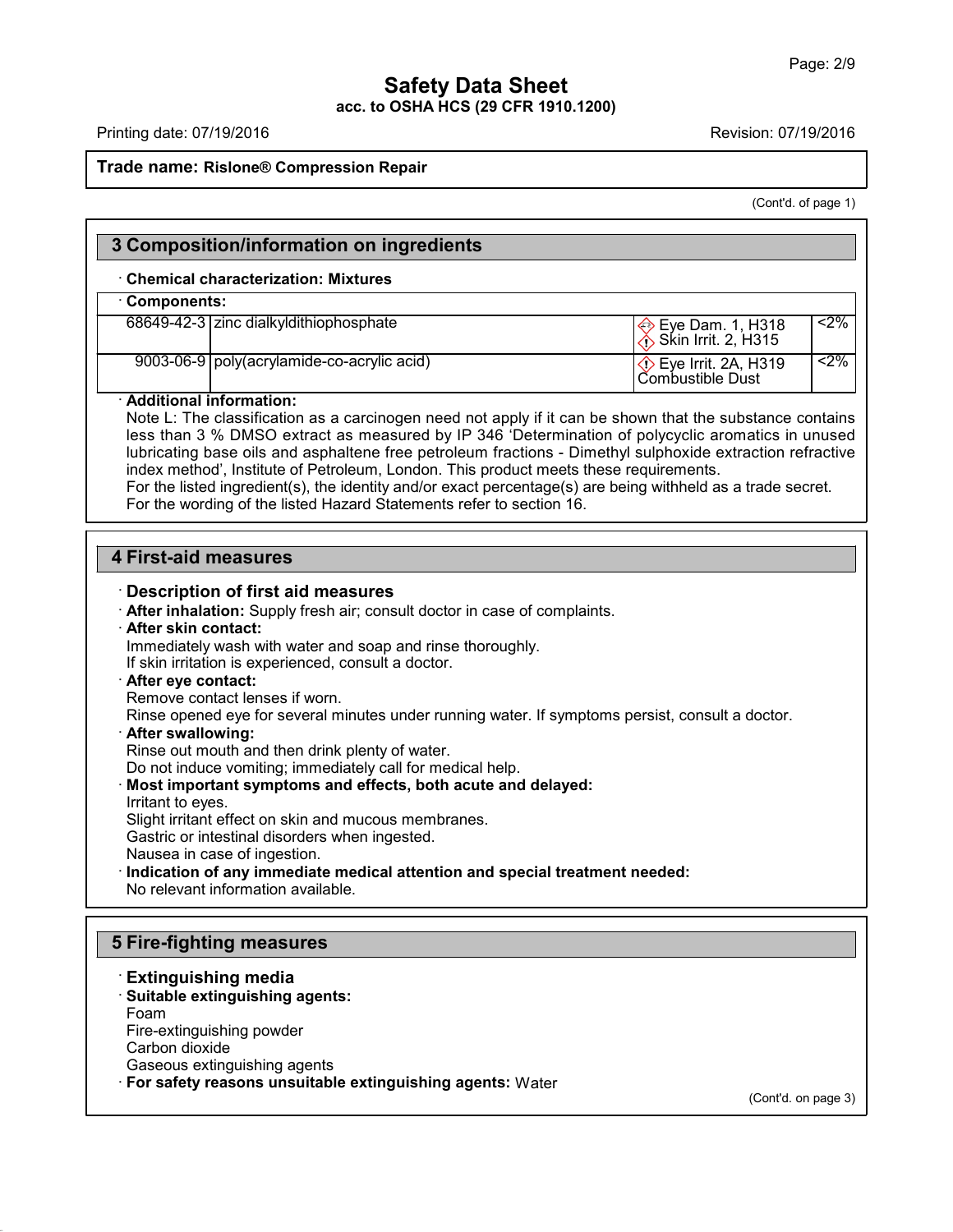Printing date: 07/19/2016 Revision: 07/19/2016

#### **Trade name: Rislone® Compression Repair**

(Cont'd. of page 1)

#### **3 Composition/information on ingredients**

#### · **Chemical characterization: Mixtures**

#### · **Components:**

| 68649-42-3 zinc dialkyldithiophosphate       | $\ket{\diamondsuit}$ Eye Dam. 1, H318<br>$\langle$ Skin Irrit. 2, H315 | $<$ 2% |  |
|----------------------------------------------|------------------------------------------------------------------------|--------|--|
| 9003-06-9   poly(acrylamide-co-acrylic acid) | $\Diamond$ Eye Irrit. 2A, H319<br>l Combustible Dust                   | $<$ 2% |  |

#### · **Additional information:**

Note L: The classification as a carcinogen need not apply if it can be shown that the substance contains less than 3 % DMSO extract as measured by IP 346 'Determination of polycyclic aromatics in unused lubricating base oils and asphaltene free petroleum fractions - Dimethyl sulphoxide extraction refractive index method', Institute of Petroleum, London. This product meets these requirements. For the listed ingredient(s), the identity and/or exact percentage(s) are being withheld as a trade secret.

For the wording of the listed Hazard Statements refer to section 16.

### **4 First-aid measures**

#### · **Description of first aid measures**

· **After inhalation:** Supply fresh air; consult doctor in case of complaints.

#### · **After skin contact:**

Immediately wash with water and soap and rinse thoroughly.

If skin irritation is experienced, consult a doctor.

#### · **After eye contact:**

Remove contact lenses if worn.

Rinse opened eye for several minutes under running water. If symptoms persist, consult a doctor.

· **After swallowing:**

Rinse out mouth and then drink plenty of water.

Do not induce vomiting; immediately call for medical help.

· **Most important symptoms and effects, both acute and delayed:** Irritant to eyes.

Slight irritant effect on skin and mucous membranes.

Gastric or intestinal disorders when ingested.

Nausea in case of ingestion.

· **Indication of any immediate medical attention and special treatment needed:**

No relevant information available.

# **5 Fire-fighting measures**

#### · **Extinguishing media**

· **Suitable extinguishing agents:** Foam

Fire-extinguishing powder

Carbon dioxide

43.0

Gaseous extinguishing agents

· **For safety reasons unsuitable extinguishing agents:** Water

(Cont'd. on page 3)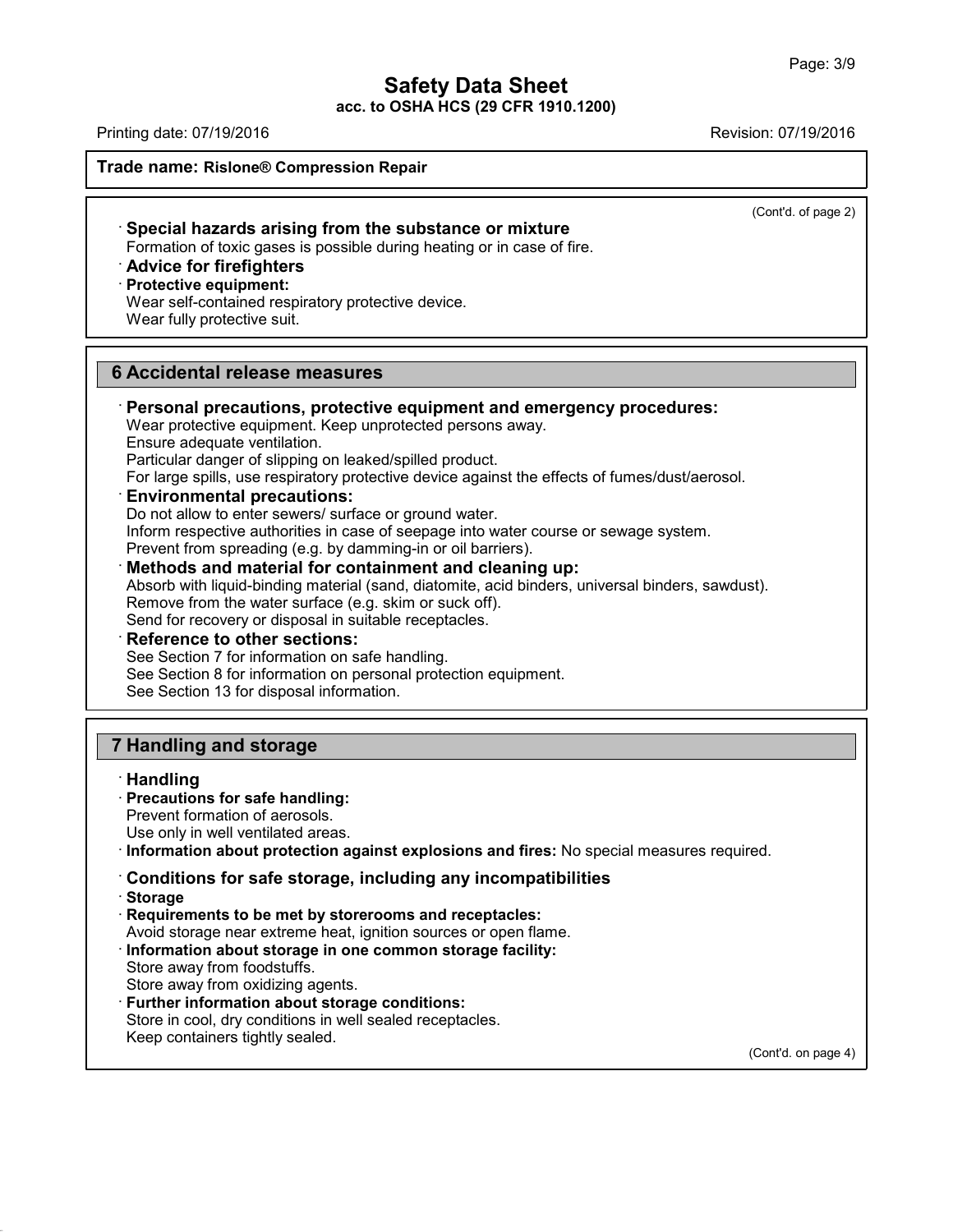# **Safety Data Sheet**

**acc. to OSHA HCS (29 CFR 1910.1200)**

Printing date: 07/19/2016 Revision: 07/19/2016

**Trade name: Rislone® Compression Repair**

(Cont'd. of page 2)

· **Special hazards arising from the substance or mixture** Formation of toxic gases is possible during heating or in case of fire.

· **Advice for firefighters**

# · **Protective equipment:**

Wear self-contained respiratory protective device.

Wear fully protective suit.

# **6 Accidental release measures**

· **Personal precautions, protective equipment and emergency procedures:** Wear protective equipment. Keep unprotected persons away. Ensure adequate ventilation.

Particular danger of slipping on leaked/spilled product.

For large spills, use respiratory protective device against the effects of fumes/dust/aerosol.

# · **Environmental precautions:**

Do not allow to enter sewers/ surface or ground water. Inform respective authorities in case of seepage into water course or sewage system. Prevent from spreading (e.g. by damming-in or oil barriers).

· **Methods and material for containment and cleaning up:** Absorb with liquid-binding material (sand, diatomite, acid binders, universal binders, sawdust). Remove from the water surface (e.g. skim or suck off). Send for recovery or disposal in suitable receptacles.

· **Reference to other sections:**

See Section 7 for information on safe handling.

See Section 8 for information on personal protection equipment.

See Section 13 for disposal information.

# **7 Handling and storage**

## · **Handling**

# · **Precautions for safe handling:**

Prevent formation of aerosols.

Use only in well ventilated areas.

· **Information about protection against explosions and fires:** No special measures required.

# · **Conditions for safe storage, including any incompatibilities**

· **Storage**

43.0

· **Requirements to be met by storerooms and receptacles:**

Avoid storage near extreme heat, ignition sources or open flame.

· **Information about storage in one common storage facility:**

Store away from foodstuffs.

Store away from oxidizing agents.

· **Further information about storage conditions:**

Store in cool, dry conditions in well sealed receptacles.

Keep containers tightly sealed.

(Cont'd. on page 4)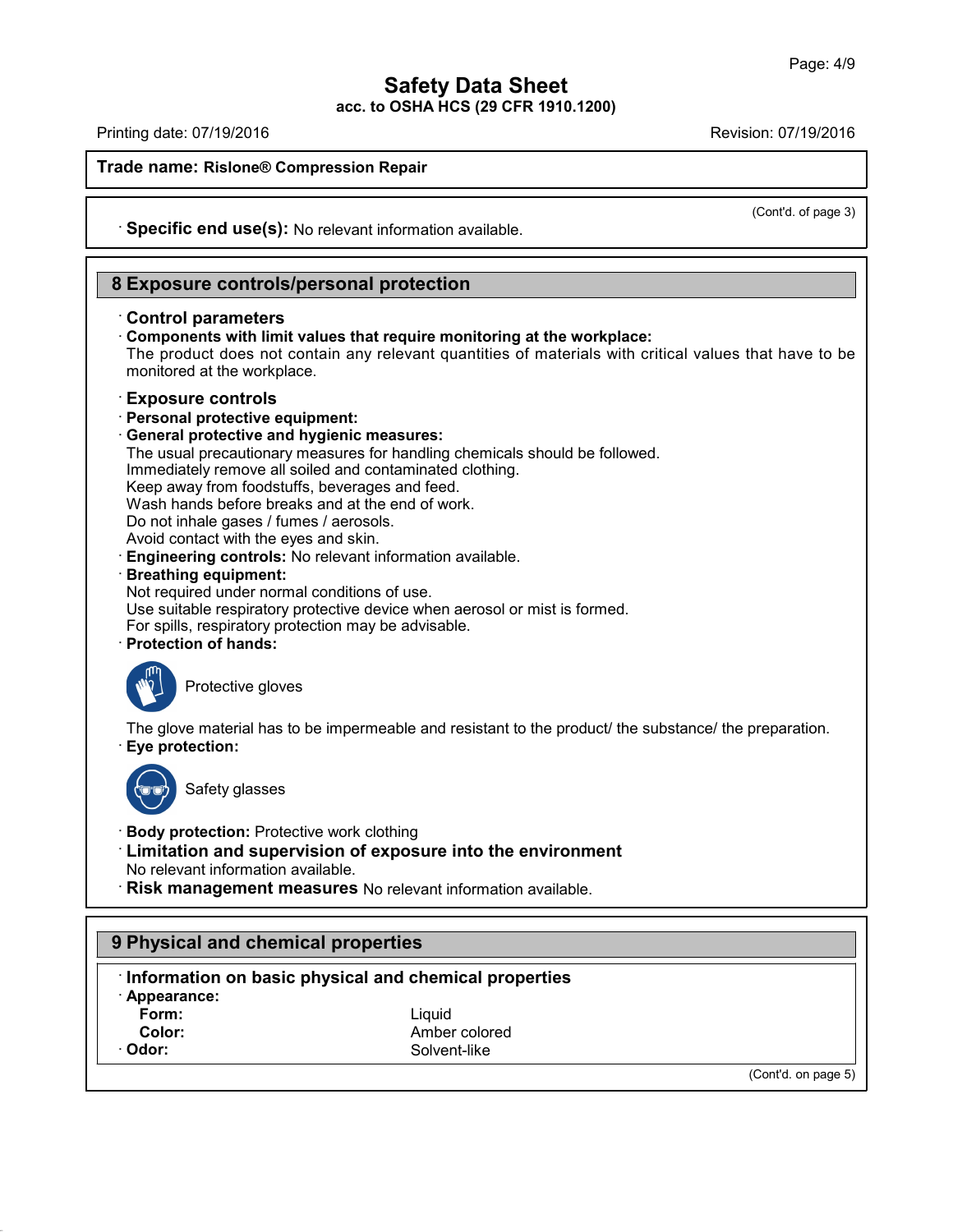Printing date: 07/19/2016 Revision: 07/19/2016

**Trade name: Rislone® Compression Repair**

(Cont'd. of page 3)

· **Specific end use(s):** No relevant information available.

# **8 Exposure controls/personal protection**

#### · **Control parameters**

· **Components with limit values that require monitoring at the workplace:** The product does not contain any relevant quantities of materials with critical values that have to be monitored at the workplace.

#### · **Exposure controls**

- · **Personal protective equipment:**
- · **General protective and hygienic measures:**
- The usual precautionary measures for handling chemicals should be followed.

Immediately remove all soiled and contaminated clothing.

Keep away from foodstuffs, beverages and feed.

Wash hands before breaks and at the end of work.

Do not inhale gases / fumes / aerosols.

Avoid contact with the eyes and skin.

· **Engineering controls:** No relevant information available.

#### · **Breathing equipment:**

Not required under normal conditions of use.

Use suitable respiratory protective device when aerosol or mist is formed.

For spills, respiratory protection may be advisable.

· **Protection of hands:**



Protective gloves

The glove material has to be impermeable and resistant to the product/ the substance/ the preparation. · **Eye protection:**



43.0

Safety glasses

- · **Body protection:** Protective work clothing
- · **Limitation and supervision of exposure into the environment** No relevant information available.
- · **Risk management measures** No relevant information available.

# **9 Physical and chemical properties** · **Information on basic physical and chemical properties** · **Appearance: Form:** Liquid **Color:** Amber colored **Odor:** Solvent-like (Cont'd. on page 5)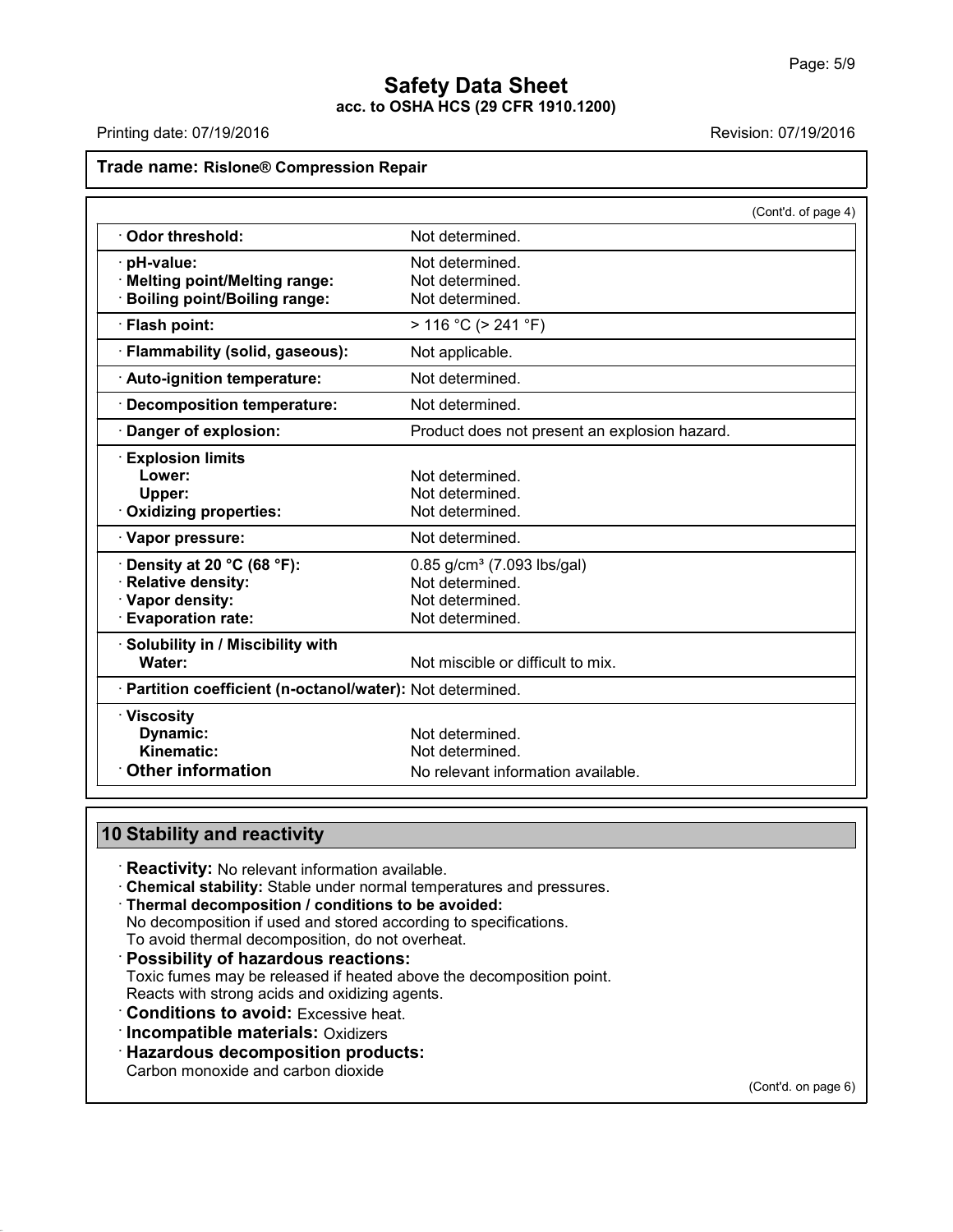Printing date: 07/19/2016 **Revision: 07/19/2016** Revision: 07/19/2016

# **Trade name: Rislone® Compression Repair**

|                                                            | (Cont'd. of page 4)                           |
|------------------------------------------------------------|-----------------------------------------------|
| Odor threshold:                                            | Not determined.                               |
| pH-value:                                                  | Not determined.                               |
| · Melting point/Melting range:                             | Not determined.                               |
| <b>Boiling point/Boiling range:</b>                        | Not determined.                               |
| · Flash point:                                             | $> 116 °C$ ( $> 241 °F$ )                     |
| · Flammability (solid, gaseous):                           | Not applicable.                               |
| · Auto-ignition temperature:                               | Not determined.                               |
| · Decomposition temperature:                               | Not determined.                               |
| · Danger of explosion:                                     | Product does not present an explosion hazard. |
| <b>Explosion limits</b>                                    |                                               |
| Lower:                                                     | Not determined.                               |
| Upper:                                                     | Not determined.                               |
| Oxidizing properties:                                      | Not determined.                               |
| · Vapor pressure:                                          | Not determined.                               |
| Density at 20 $^{\circ}$ C (68 $^{\circ}$ F):              | 0.85 g/cm <sup>3</sup> (7.093 lbs/gal)        |
| · Relative density:                                        | Not determined.                               |
| · Vapor density:                                           | Not determined.                               |
| <b>Evaporation rate:</b>                                   | Not determined.                               |
| · Solubility in / Miscibility with                         |                                               |
| Water:                                                     | Not miscible or difficult to mix.             |
| · Partition coefficient (n-octanol/water): Not determined. |                                               |
| $\cdot$ Viscosity                                          |                                               |
| Dynamic:                                                   | Not determined.                               |
| Kinematic:                                                 | Not determined.                               |
| <b>Other information</b>                                   | No relevant information available.            |

# **10 Stability and reactivity**

· **Reactivity:** No relevant information available.

- · **Chemical stability:** Stable under normal temperatures and pressures.
- · **Thermal decomposition / conditions to be avoided:**

No decomposition if used and stored according to specifications.

- To avoid thermal decomposition, do not overheat.
- · **Possibility of hazardous reactions:** Toxic fumes may be released if heated above the decomposition point. Reacts with strong acids and oxidizing agents.
- · **Conditions to avoid:** Excessive heat.
- · **Incompatible materials:** Oxidizers
- · **Hazardous decomposition products:**

Carbon monoxide and carbon dioxide

43.0

(Cont'd. on page 6)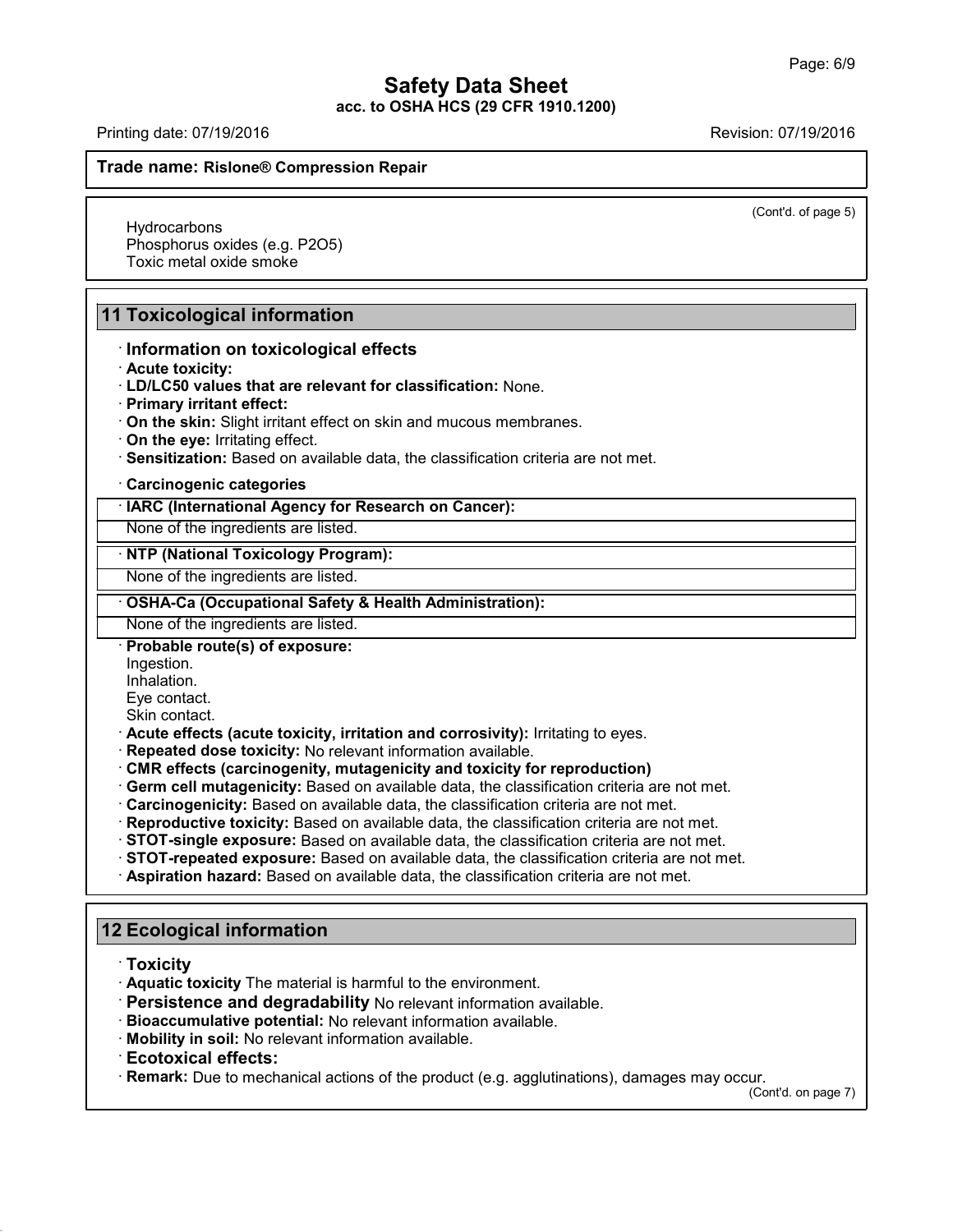Printing date: 07/19/2016 Revision: 07/19/2016

#### **Trade name: Rislone® Compression Repair**

(Cont'd. of page 5)

**Hydrocarbons** Phosphorus oxides (e.g. P2O5) Toxic metal oxide smoke

# **11 Toxicological information**

#### · **Information on toxicological effects**

- · **Acute toxicity:**
- · **LD/LC50 values that are relevant for classification:** None.
- · **Primary irritant effect:**
- · **On the skin:** Slight irritant effect on skin and mucous membranes.
- · **On the eye:** Irritating effect.
- · **Sensitization:** Based on available data, the classification criteria are not met.

#### · **Carcinogenic categories**

· **IARC (International Agency for Research on Cancer):**

None of the ingredients are listed.

#### · **NTP (National Toxicology Program):**

None of the ingredients are listed.

#### · **OSHA-Ca (Occupational Safety & Health Administration):**

None of the ingredients are listed.

#### · **Probable route(s) of exposure:**

- Ingestion.
- Inhalation.
- Eye contact.
- Skin contact.
- · **Acute effects (acute toxicity, irritation and corrosivity):** Irritating to eyes.
- · **Repeated dose toxicity:** No relevant information available.
- · **CMR effects (carcinogenity, mutagenicity and toxicity for reproduction)**
- · **Germ cell mutagenicity:** Based on available data, the classification criteria are not met.
- · **Carcinogenicity:** Based on available data, the classification criteria are not met.
- · **Reproductive toxicity:** Based on available data, the classification criteria are not met.
- · **STOT-single exposure:** Based on available data, the classification criteria are not met.
- · **STOT-repeated exposure:** Based on available data, the classification criteria are not met.
- · **Aspiration hazard:** Based on available data, the classification criteria are not met.

# **12 Ecological information**

· **Toxicity**

43.0

- · **Aquatic toxicity** The material is harmful to the environment.
- · **Persistence and degradability** No relevant information available.
- · **Bioaccumulative potential:** No relevant information available.
- · **Mobility in soil:** No relevant information available.
- · **Ecotoxical effects:**

· **Remark:** Due to mechanical actions of the product (e.g. agglutinations), damages may occur.

(Cont'd. on page 7)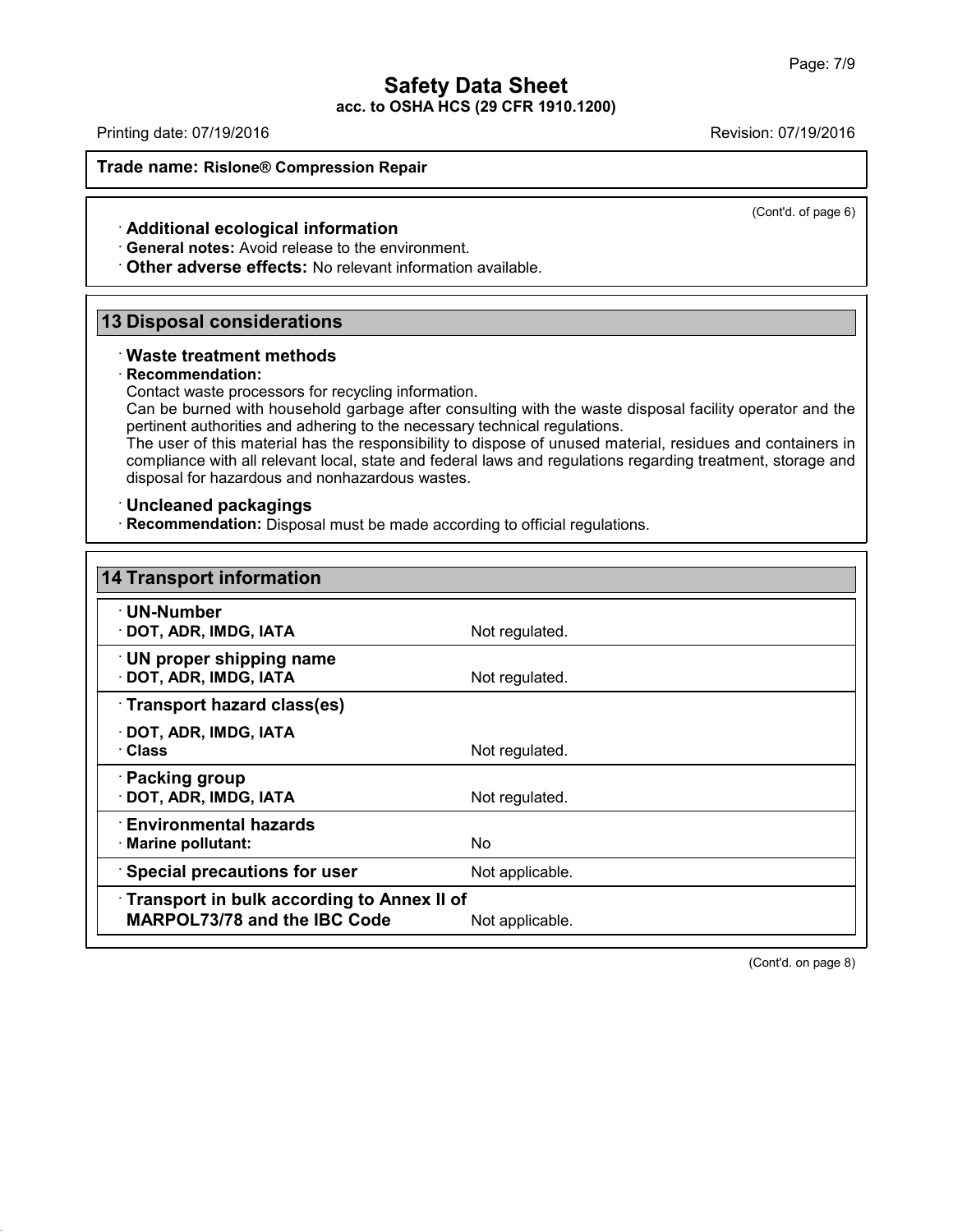Printing date: 07/19/2016 Revision: 07/19/2016

(Cont'd. of page 6)

**Trade name: Rislone® Compression Repair**

#### · **Additional ecological information**

· **General notes:** Avoid release to the environment.

· **Other adverse effects:** No relevant information available.

# **13 Disposal considerations**

#### · **Waste treatment methods**

#### · **Recommendation:**

Contact waste processors for recycling information.

Can be burned with household garbage after consulting with the waste disposal facility operator and the pertinent authorities and adhering to the necessary technical regulations.

The user of this material has the responsibility to dispose of unused material, residues and containers in compliance with all relevant local, state and federal laws and regulations regarding treatment, storage and disposal for hazardous and nonhazardous wastes.

#### · **Uncleaned packagings**

43.0

· **Recommendation:** Disposal must be made according to official regulations.

| 14 Transport information                                                          |                 |  |  |  |
|-----------------------------------------------------------------------------------|-----------------|--|--|--|
| $\cdot$ UN-Number<br>DOT, ADR, IMDG, IATA                                         | Not regulated.  |  |  |  |
| $\cdot$ UN proper shipping name<br>DOT, ADR, IMDG, IATA                           | Not regulated.  |  |  |  |
| Transport hazard class(es)                                                        |                 |  |  |  |
| DOT, ADR, IMDG, IATA<br>· Class                                                   | Not regulated.  |  |  |  |
| · Packing group<br>DOT, ADR, IMDG, IATA                                           | Not regulated.  |  |  |  |
| $\cdot$ Environmental hazards<br>$\cdot$ Marine pollutant:                        | N <sub>o</sub>  |  |  |  |
| Special precautions for user                                                      | Not applicable. |  |  |  |
| Transport in bulk according to Annex II of<br><b>MARPOL73/78 and the IBC Code</b> | Not applicable. |  |  |  |

(Cont'd. on page 8)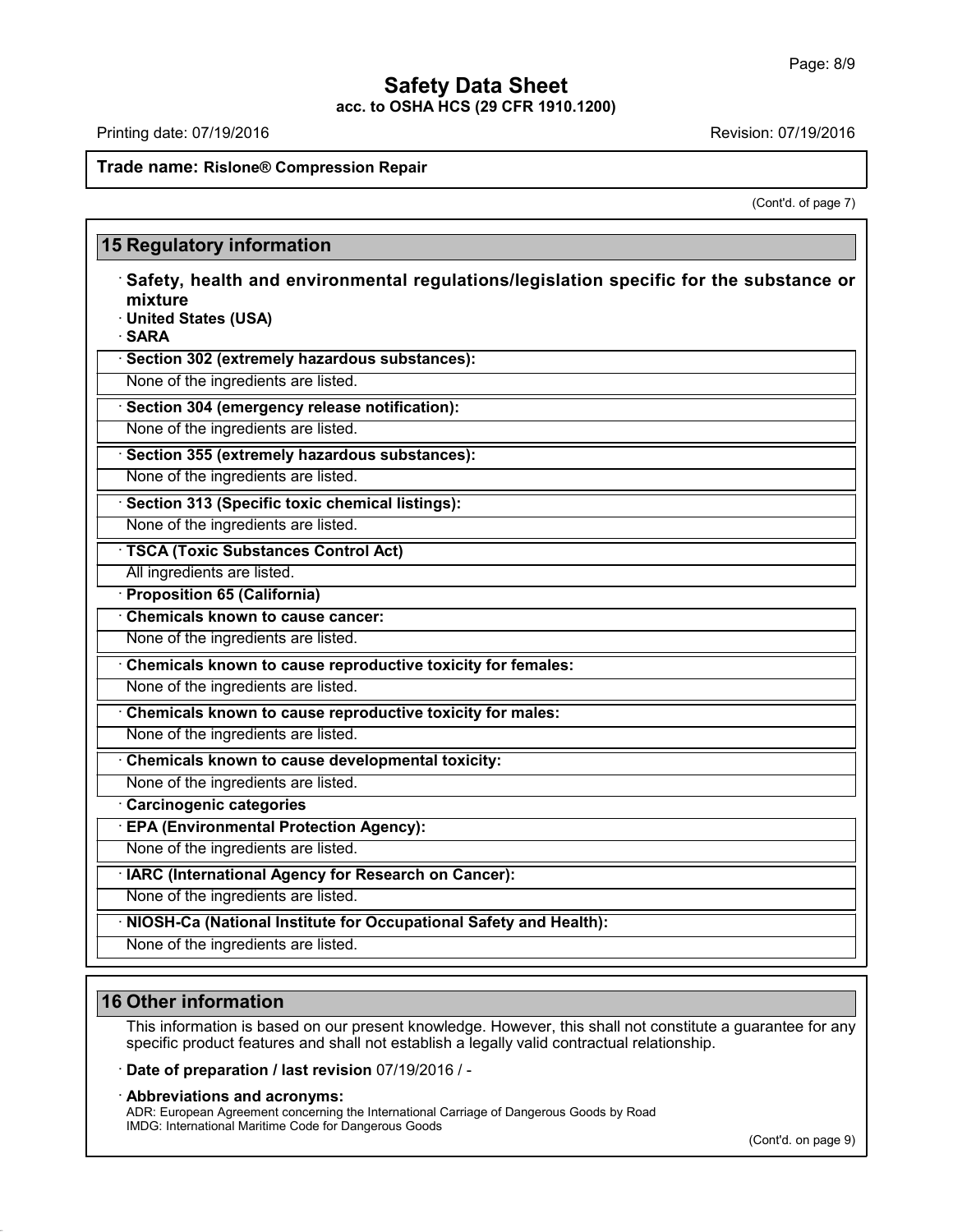# **Safety Data Sheet**

**acc. to OSHA HCS (29 CFR 1910.1200)**

Printing date: 07/19/2016 **Revision: 07/19/2016** Revision: 07/19/2016

### **Trade name: Rislone® Compression Repair**

(Cont'd. of page 7)

|        | Safety, health and environmental regulations/legislation specific for the substance or<br>mixture |  |  |  |  |
|--------|---------------------------------------------------------------------------------------------------|--|--|--|--|
|        | · United States (USA)                                                                             |  |  |  |  |
| · SARA |                                                                                                   |  |  |  |  |
|        | · Section 302 (extremely hazardous substances):                                                   |  |  |  |  |
|        | None of the ingredients are listed.                                                               |  |  |  |  |
|        | · Section 304 (emergency release notification):                                                   |  |  |  |  |
|        | None of the ingredients are listed.                                                               |  |  |  |  |
|        | · Section 355 (extremely hazardous substances):                                                   |  |  |  |  |
|        | None of the ingredients are listed.                                                               |  |  |  |  |
|        | · Section 313 (Specific toxic chemical listings):                                                 |  |  |  |  |
|        | None of the ingredients are listed.                                                               |  |  |  |  |
|        | · TSCA (Toxic Substances Control Act)                                                             |  |  |  |  |
|        | All ingredients are listed.                                                                       |  |  |  |  |
|        | · Proposition 65 (California)                                                                     |  |  |  |  |
|        | Chemicals known to cause cancer:                                                                  |  |  |  |  |
|        | None of the ingredients are listed.                                                               |  |  |  |  |
|        | Chemicals known to cause reproductive toxicity for females:                                       |  |  |  |  |
|        | None of the ingredients are listed.                                                               |  |  |  |  |
|        | Chemicals known to cause reproductive toxicity for males:                                         |  |  |  |  |
|        | None of the ingredients are listed.                                                               |  |  |  |  |
|        | Chemicals known to cause developmental toxicity:                                                  |  |  |  |  |
|        | None of the ingredients are listed.                                                               |  |  |  |  |
|        | Carcinogenic categories                                                                           |  |  |  |  |
|        | <b>EPA (Environmental Protection Agency):</b>                                                     |  |  |  |  |
|        | None of the ingredients are listed.                                                               |  |  |  |  |
|        | · IARC (International Agency for Research on Cancer):                                             |  |  |  |  |
|        | None of the ingredients are listed.                                                               |  |  |  |  |
|        | · NIOSH-Ca (National Institute for Occupational Safety and Health):                               |  |  |  |  |
|        | None of the ingredients are listed.                                                               |  |  |  |  |

# **16 Other information**

43.0

This information is based on our present knowledge. However, this shall not constitute a guarantee for any specific product features and shall not establish a legally valid contractual relationship.

· **Date of preparation / last revision** 07/19/2016 / -

· **Abbreviations and acronyms:**

ADR: European Agreement concerning the International Carriage of Dangerous Goods by Road IMDG: International Maritime Code for Dangerous Goods

(Cont'd. on page 9)